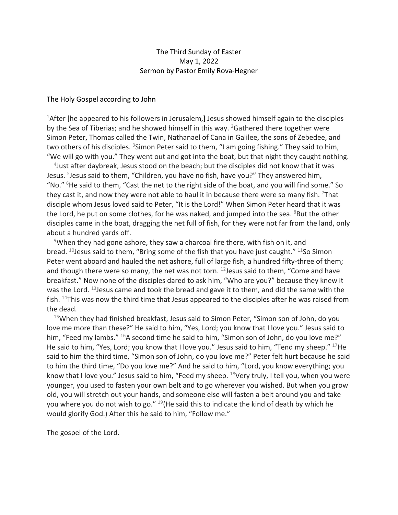## The Third Sunday of Easter May 1, 2022 Sermon by Pastor Emily Rova-Hegner

## The Holy Gospel according to John

<sup>1</sup>After [he appeared to his followers in Jerusalem,] Jesus showed himself again to the disciples by the Sea of Tiberias; and he showed himself in this way.  $^{2}$ Gathered there together were Simon Peter, Thomas called the Twin, Nathanael of Cana in Galilee, the sons of Zebedee, and two others of his disciples. <sup>3</sup>Simon Peter said to them, "I am going fishing." They said to him, "We will go with you." They went out and got into the boat, but that night they caught nothing.

4 Just after daybreak, Jesus stood on the beach; but the disciples did not know that it was Jesus. <sup>5</sup>Jesus said to them, "Children, you have no fish, have you?" They answered him, "No." <sup>6</sup>He said to them, "Cast the net to the right side of the boat, and you will find some." So they cast it, and now they were not able to haul it in because there were so many fish. <sup>7</sup>That disciple whom Jesus loved said to Peter, "It is the Lord!" When Simon Peter heard that it was the Lord, he put on some clothes, for he was naked, and jumped into the sea. <sup>8</sup>But the other disciples came in the boat, dragging the net full of fish, for they were not far from the land, only about a hundred yards off.

<sup>9</sup>When they had gone ashore, they saw a charcoal fire there, with fish on it, and bread.  $^{10}$  Jesus said to them, "Bring some of the fish that you have just caught."  $^{11}$ So Simon Peter went aboard and hauled the net ashore, full of large fish, a hundred fifty-three of them; and though there were so many, the net was not torn.  $^{12}$  Jesus said to them, "Come and have breakfast." Now none of the disciples dared to ask him, "Who are you?" because they knew it was the Lord. <sup>13</sup> Jesus came and took the bread and gave it to them, and did the same with the fish.  $14$ This was now the third time that Jesus appeared to the disciples after he was raised from the dead.

 $15$ When they had finished breakfast, Jesus said to Simon Peter, "Simon son of John, do you love me more than these?" He said to him, "Yes, Lord; you know that I love you." Jesus said to him, "Feed my lambs."  $^{16}$ A second time he said to him, "Simon son of John, do you love me?" He said to him, "Yes, Lord; you know that I love you." Jesus said to him, "Tend my sheep."  $^{17}$ He said to him the third time, "Simon son of John, do you love me?" Peter felt hurt because he said to him the third time, "Do you love me?" And he said to him, "Lord, you know everything; you know that I love you." Jesus said to him, "Feed my sheep.  $18$ Very truly, I tell you, when you were younger, you used to fasten your own belt and to go wherever you wished. But when you grow old, you will stretch out your hands, and someone else will fasten a belt around you and take you where you do not wish to go."  $19$ (He said this to indicate the kind of death by which he would glorify God.) After this he said to him, "Follow me."

The gospel of the Lord.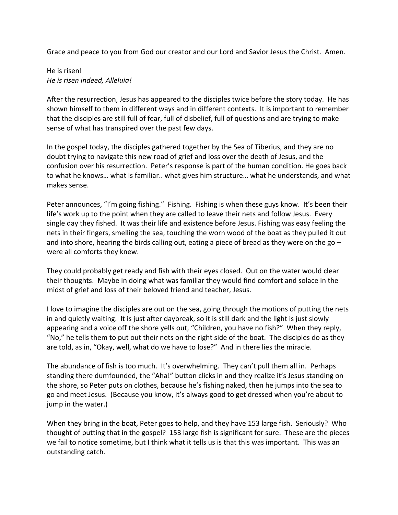Grace and peace to you from God our creator and our Lord and Savior Jesus the Christ. Amen.

He is risen! *He is risen indeed, Alleluia!*

After the resurrection, Jesus has appeared to the disciples twice before the story today. He has shown himself to them in different ways and in different contexts. It is important to remember that the disciples are still full of fear, full of disbelief, full of questions and are trying to make sense of what has transpired over the past few days.

In the gospel today, the disciples gathered together by the Sea of Tiberius, and they are no doubt trying to navigate this new road of grief and loss over the death of Jesus, and the confusion over his resurrection. Peter's response is part of the human condition. He goes back to what he knows… what is familiar.. what gives him structure… what he understands, and what makes sense.

Peter announces, "I'm going fishing." Fishing. Fishing is when these guys know. It's been their life's work up to the point when they are called to leave their nets and follow Jesus. Every single day they fished. It was their life and existence before Jesus. Fishing was easy feeling the nets in their fingers, smelling the sea, touching the worn wood of the boat as they pulled it out and into shore, hearing the birds calling out, eating a piece of bread as they were on the go  $$ were all comforts they knew.

They could probably get ready and fish with their eyes closed. Out on the water would clear their thoughts. Maybe in doing what was familiar they would find comfort and solace in the midst of grief and loss of their beloved friend and teacher, Jesus.

I love to imagine the disciples are out on the sea, going through the motions of putting the nets in and quietly waiting. It is just after daybreak, so it is still dark and the light is just slowly appearing and a voice off the shore yells out, "Children, you have no fish?" When they reply, "No," he tells them to put out their nets on the right side of the boat. The disciples do as they are told, as in, "Okay, well, what do we have to lose?" And in there lies the miracle.

The abundance of fish is too much. It's overwhelming. They can't pull them all in. Perhaps standing there dumfounded, the "Aha!" button clicks in and they realize it's Jesus standing on the shore, so Peter puts on clothes, because he's fishing naked, then he jumps into the sea to go and meet Jesus. (Because you know, it's always good to get dressed when you're about to jump in the water.)

When they bring in the boat, Peter goes to help, and they have 153 large fish. Seriously? Who thought of putting that in the gospel? 153 large fish is significant for sure. These are the pieces we fail to notice sometime, but I think what it tells us is that this was important. This was an outstanding catch.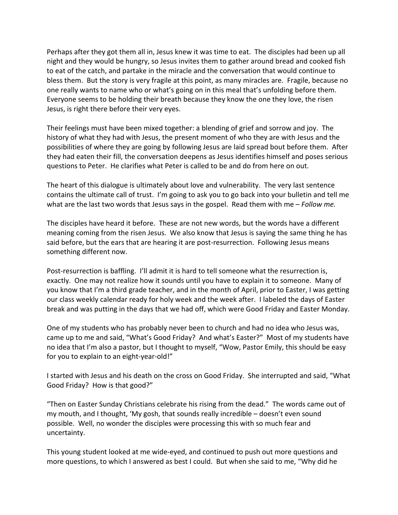Perhaps after they got them all in, Jesus knew it was time to eat. The disciples had been up all night and they would be hungry, so Jesus invites them to gather around bread and cooked fish to eat of the catch, and partake in the miracle and the conversation that would continue to bless them. But the story is very fragile at this point, as many miracles are. Fragile, because no one really wants to name who or what's going on in this meal that's unfolding before them. Everyone seems to be holding their breath because they know the one they love, the risen Jesus, is right there before their very eyes.

Their feelings must have been mixed together: a blending of grief and sorrow and joy. The history of what they had with Jesus, the present moment of who they are with Jesus and the possibilities of where they are going by following Jesus are laid spread bout before them. After they had eaten their fill, the conversation deepens as Jesus identifies himself and poses serious questions to Peter. He clarifies what Peter is called to be and do from here on out.

The heart of this dialogue is ultimately about love and vulnerability. The very last sentence contains the ultimate call of trust. I'm going to ask you to go back into your bulletin and tell me what are the last two words that Jesus says in the gospel. Read them with me – *Follow me.* 

The disciples have heard it before. These are not new words, but the words have a different meaning coming from the risen Jesus. We also know that Jesus is saying the same thing he has said before, but the ears that are hearing it are post-resurrection. Following Jesus means something different now.

Post-resurrection is baffling. I'll admit it is hard to tell someone what the resurrection is, exactly. One may not realize how it sounds until you have to explain it to someone. Many of you know that I'm a third grade teacher, and in the month of April, prior to Easter, I was getting our class weekly calendar ready for holy week and the week after. I labeled the days of Easter break and was putting in the days that we had off, which were Good Friday and Easter Monday.

One of my students who has probably never been to church and had no idea who Jesus was, came up to me and said, "What's Good Friday? And what's Easter?" Most of my students have no idea that I'm also a pastor, but I thought to myself, "Wow, Pastor Emily, this should be easy for you to explain to an eight-year-old!"

I started with Jesus and his death on the cross on Good Friday. She interrupted and said, "What Good Friday? How is that good?"

"Then on Easter Sunday Christians celebrate his rising from the dead." The words came out of my mouth, and I thought, 'My gosh, that sounds really incredible – doesn't even sound possible. Well, no wonder the disciples were processing this with so much fear and uncertainty.

This young student looked at me wide-eyed, and continued to push out more questions and more questions, to which I answered as best I could. But when she said to me, "Why did he